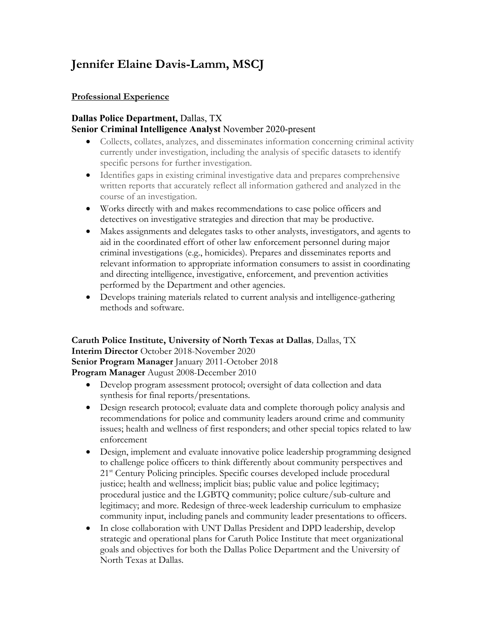# **Jennifer Elaine Davis-Lamm, MSCJ**

#### **Professional Experience**

#### **Dallas Police Department,** Dallas, TX **Senior Criminal Intelligence Analyst** November 2020-present

- Collects, collates, analyzes, and disseminates information concerning criminal activity currently under investigation, including the analysis of specific datasets to identify specific persons for further investigation.
- Identifies gaps in existing criminal investigative data and prepares comprehensive written reports that accurately reflect all information gathered and analyzed in the course of an investigation.
- Works directly with and makes recommendations to case police officers and detectives on investigative strategies and direction that may be productive.
- Makes assignments and delegates tasks to other analysts, investigators, and agents to aid in the coordinated effort of other law enforcement personnel during major criminal investigations (e.g., homicides). Prepares and disseminates reports and relevant information to appropriate information consumers to assist in coordinating and directing intelligence, investigative, enforcement, and prevention activities performed by the Department and other agencies.
- Develops training materials related to current analysis and intelligence-gathering methods and software.

**Caruth Police Institute, University of North Texas at Dallas***,* Dallas, TX **Interim Director** October 2018-November 2020 **Senior Program Manager** January 2011-October 2018 **Program Manager** August 2008-December 2010

- Develop program assessment protocol; oversight of data collection and data synthesis for final reports/presentations.
- Design research protocol; evaluate data and complete thorough policy analysis and recommendations for police and community leaders around crime and community issues; health and wellness of first responders; and other special topics related to law enforcement
- Design, implement and evaluate innovative police leadership programming designed to challenge police officers to think differently about community perspectives and 21<sup>st</sup> Century Policing principles. Specific courses developed include procedural justice; health and wellness; implicit bias; public value and police legitimacy; procedural justice and the LGBTQ community; police culture/sub-culture and legitimacy; and more. Redesign of three-week leadership curriculum to emphasize community input, including panels and community leader presentations to officers.
- In close collaboration with UNT Dallas President and DPD leadership, develop strategic and operational plans for Caruth Police Institute that meet organizational goals and objectives for both the Dallas Police Department and the University of North Texas at Dallas.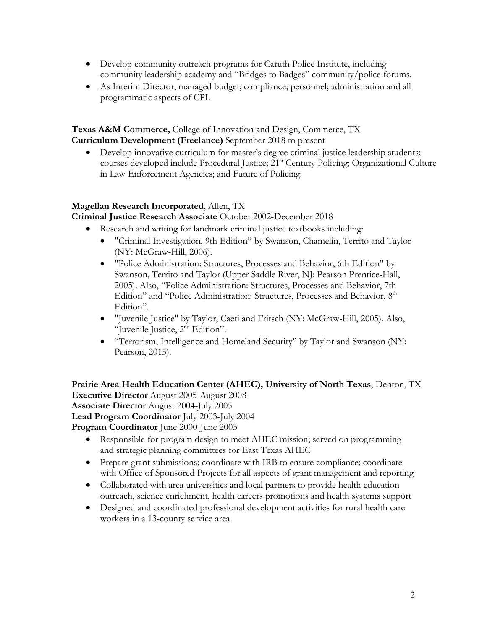- Develop community outreach programs for Caruth Police Institute, including community leadership academy and "Bridges to Badges" community/police forums.
- As Interim Director, managed budget; compliance; personnel; administration and all programmatic aspects of CPI.

**Texas A&M Commerce,** College of Innovation and Design, Commerce, TX **Curriculum Development (Freelance)** September 2018 to present

• Develop innovative curriculum for master's degree criminal justice leadership students; courses developed include Procedural Justice; 21<sup>st</sup> Century Policing; Organizational Culture in Law Enforcement Agencies; and Future of Policing

### **Magellan Research Incorporated**, Allen, TX

**Criminal Justice Research Associate** October 2002-December 2018

- Research and writing for landmark criminal justice textbooks including:
	- "Criminal Investigation, 9th Edition" by Swanson, Chamelin, Territo and Taylor (NY: McGraw-Hill, 2006).
	- "Police Administration: Structures, Processes and Behavior, 6th Edition" by Swanson, Territo and Taylor (Upper Saddle River, NJ: Pearson Prentice-Hall, 2005). Also, "Police Administration: Structures, Processes and Behavior, 7th Edition" and "Police Administration: Structures, Processes and Behavior, 8<sup>th</sup> Edition".
	- "Juvenile Justice" by Taylor, Caeti and Fritsch (NY: McGraw-Hill, 2005). Also, "Juvenile Justice, 2nd Edition".
	- "Terrorism, Intelligence and Homeland Security" by Taylor and Swanson (NY: Pearson, 2015).

**Prairie Area Health Education Center (AHEC), University of North Texas**, Denton, TX **Executive Director** August 2005-August 2008 **Associate Director** August 2004-July 2005 **Lead Program Coordinator** July 2003-July 2004

**Program Coordinator** June 2000-June 2003

- Responsible for program design to meet AHEC mission; served on programming and strategic planning committees for East Texas AHEC
- Prepare grant submissions; coordinate with IRB to ensure compliance; coordinate with Office of Sponsored Projects for all aspects of grant management and reporting
- Collaborated with area universities and local partners to provide health education outreach, science enrichment, health careers promotions and health systems support
- Designed and coordinated professional development activities for rural health care workers in a 13-county service area